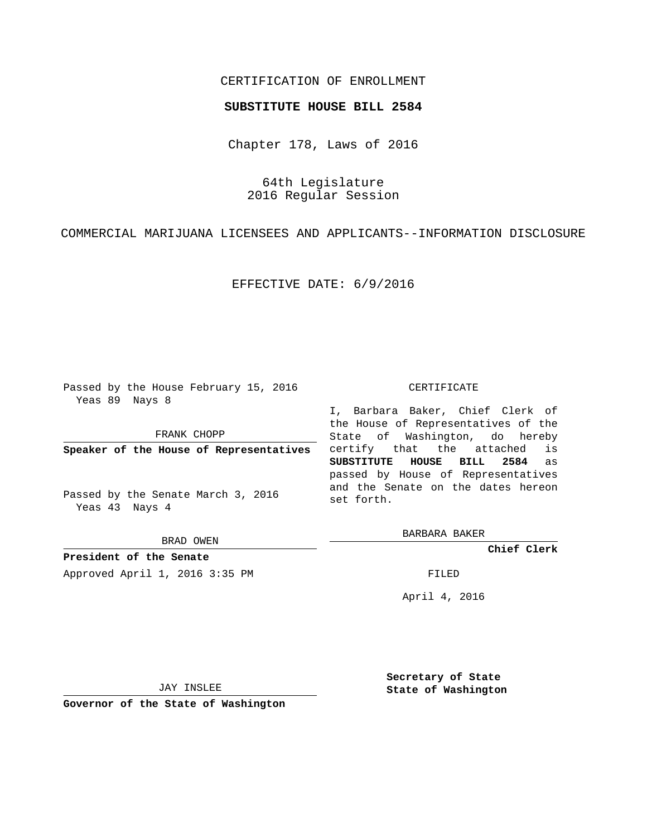## CERTIFICATION OF ENROLLMENT

## **SUBSTITUTE HOUSE BILL 2584**

Chapter 178, Laws of 2016

64th Legislature 2016 Regular Session

COMMERCIAL MARIJUANA LICENSEES AND APPLICANTS--INFORMATION DISCLOSURE

EFFECTIVE DATE: 6/9/2016

Passed by the House February 15, 2016 Yeas 89 Nays 8

FRANK CHOPP

**Speaker of the House of Representatives**

Passed by the Senate March 3, 2016 Yeas 43 Nays 4

BRAD OWEN

**President of the Senate**

Approved April 1, 2016 3:35 PM FILED

## CERTIFICATE

I, Barbara Baker, Chief Clerk of the House of Representatives of the State of Washington, do hereby certify that the attached is **SUBSTITUTE HOUSE BILL 2584** as passed by House of Representatives and the Senate on the dates hereon set forth.

BARBARA BAKER

**Chief Clerk**

April 4, 2016

JAY INSLEE

**Governor of the State of Washington**

**Secretary of State State of Washington**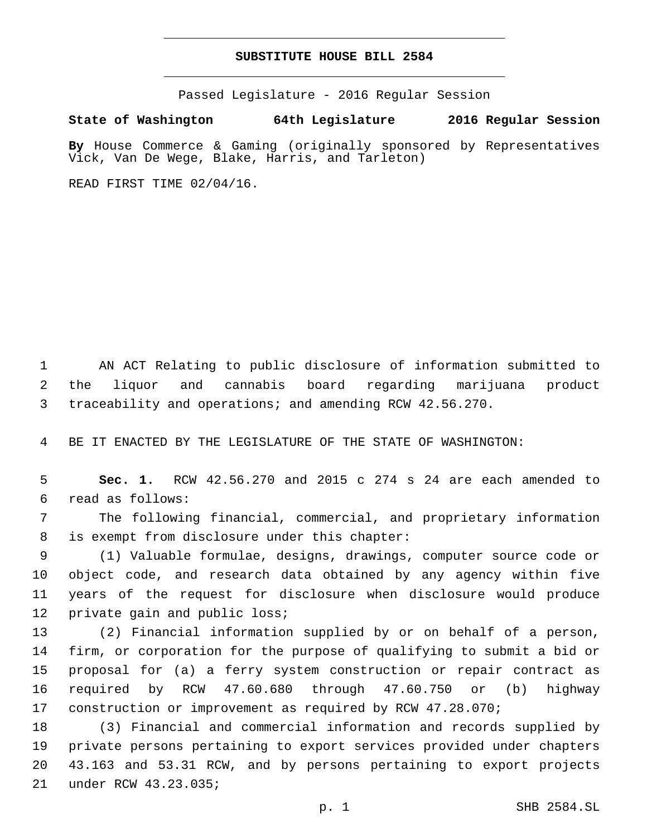## **SUBSTITUTE HOUSE BILL 2584**

Passed Legislature - 2016 Regular Session

**State of Washington 64th Legislature 2016 Regular Session**

**By** House Commerce & Gaming (originally sponsored by Representatives Vick, Van De Wege, Blake, Harris, and Tarleton)

READ FIRST TIME 02/04/16.

 AN ACT Relating to public disclosure of information submitted to the liquor and cannabis board regarding marijuana product traceability and operations; and amending RCW 42.56.270.

BE IT ENACTED BY THE LEGISLATURE OF THE STATE OF WASHINGTON:

 **Sec. 1.** RCW 42.56.270 and 2015 c 274 s 24 are each amended to read as follows:6

 The following financial, commercial, and proprietary information 8 is exempt from disclosure under this chapter:

 (1) Valuable formulae, designs, drawings, computer source code or object code, and research data obtained by any agency within five years of the request for disclosure when disclosure would produce 12 private gain and public loss;

 (2) Financial information supplied by or on behalf of a person, firm, or corporation for the purpose of qualifying to submit a bid or proposal for (a) a ferry system construction or repair contract as required by RCW 47.60.680 through 47.60.750 or (b) highway construction or improvement as required by RCW 47.28.070;

 (3) Financial and commercial information and records supplied by private persons pertaining to export services provided under chapters 43.163 and 53.31 RCW, and by persons pertaining to export projects 21 under RCW 43.23.035;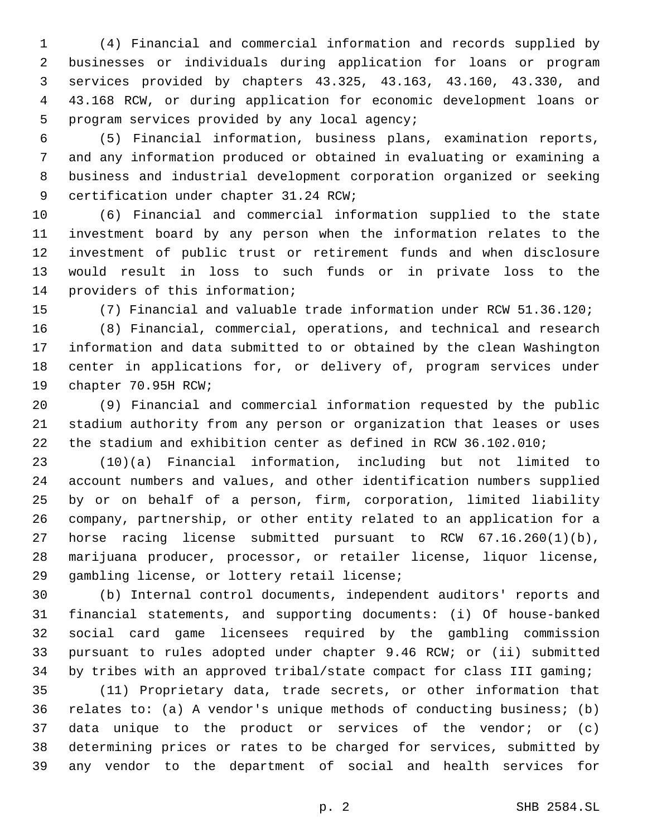(4) Financial and commercial information and records supplied by businesses or individuals during application for loans or program services provided by chapters 43.325, 43.163, 43.160, 43.330, and 43.168 RCW, or during application for economic development loans or 5 program services provided by any local agency;

 (5) Financial information, business plans, examination reports, and any information produced or obtained in evaluating or examining a business and industrial development corporation organized or seeking 9 certification under chapter 31.24 RCW;

 (6) Financial and commercial information supplied to the state investment board by any person when the information relates to the investment of public trust or retirement funds and when disclosure would result in loss to such funds or in private loss to the 14 providers of this information;

(7) Financial and valuable trade information under RCW 51.36.120;

 (8) Financial, commercial, operations, and technical and research information and data submitted to or obtained by the clean Washington center in applications for, or delivery of, program services under 19 chapter 70.95H RCW;

 (9) Financial and commercial information requested by the public stadium authority from any person or organization that leases or uses the stadium and exhibition center as defined in RCW 36.102.010;

 (10)(a) Financial information, including but not limited to account numbers and values, and other identification numbers supplied by or on behalf of a person, firm, corporation, limited liability company, partnership, or other entity related to an application for a horse racing license submitted pursuant to RCW 67.16.260(1)(b), marijuana producer, processor, or retailer license, liquor license, 29 gambling license, or lottery retail license;

 (b) Internal control documents, independent auditors' reports and financial statements, and supporting documents: (i) Of house-banked social card game licensees required by the gambling commission pursuant to rules adopted under chapter 9.46 RCW; or (ii) submitted by tribes with an approved tribal/state compact for class III gaming;

 (11) Proprietary data, trade secrets, or other information that relates to: (a) A vendor's unique methods of conducting business; (b) data unique to the product or services of the vendor; or (c) determining prices or rates to be charged for services, submitted by any vendor to the department of social and health services for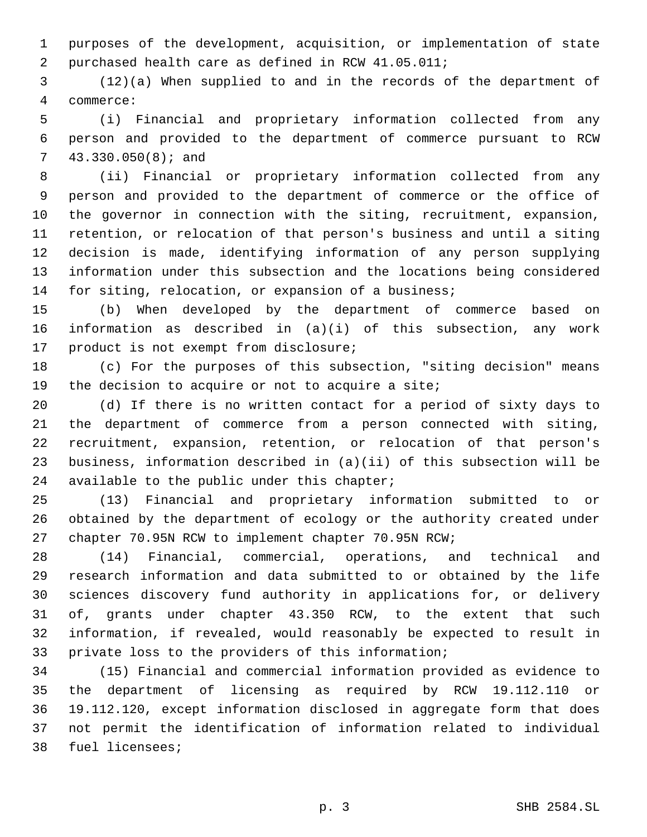purposes of the development, acquisition, or implementation of state 2 purchased health care as defined in RCW 41.05.011;

 (12)(a) When supplied to and in the records of the department of commerce:4

 (i) Financial and proprietary information collected from any person and provided to the department of commerce pursuant to RCW 43.330.050(8); and7

 (ii) Financial or proprietary information collected from any person and provided to the department of commerce or the office of the governor in connection with the siting, recruitment, expansion, retention, or relocation of that person's business and until a siting decision is made, identifying information of any person supplying information under this subsection and the locations being considered for siting, relocation, or expansion of a business;

 (b) When developed by the department of commerce based on information as described in (a)(i) of this subsection, any work 17 product is not exempt from disclosure;

 (c) For the purposes of this subsection, "siting decision" means 19 the decision to acquire or not to acquire a site;

 (d) If there is no written contact for a period of sixty days to the department of commerce from a person connected with siting, recruitment, expansion, retention, or relocation of that person's business, information described in (a)(ii) of this subsection will be 24 available to the public under this chapter;

 (13) Financial and proprietary information submitted to or obtained by the department of ecology or the authority created under chapter 70.95N RCW to implement chapter 70.95N RCW;

 (14) Financial, commercial, operations, and technical and research information and data submitted to or obtained by the life sciences discovery fund authority in applications for, or delivery of, grants under chapter 43.350 RCW, to the extent that such information, if revealed, would reasonably be expected to result in private loss to the providers of this information;

 (15) Financial and commercial information provided as evidence to the department of licensing as required by RCW 19.112.110 or 19.112.120, except information disclosed in aggregate form that does not permit the identification of information related to individual 38 fuel licensees;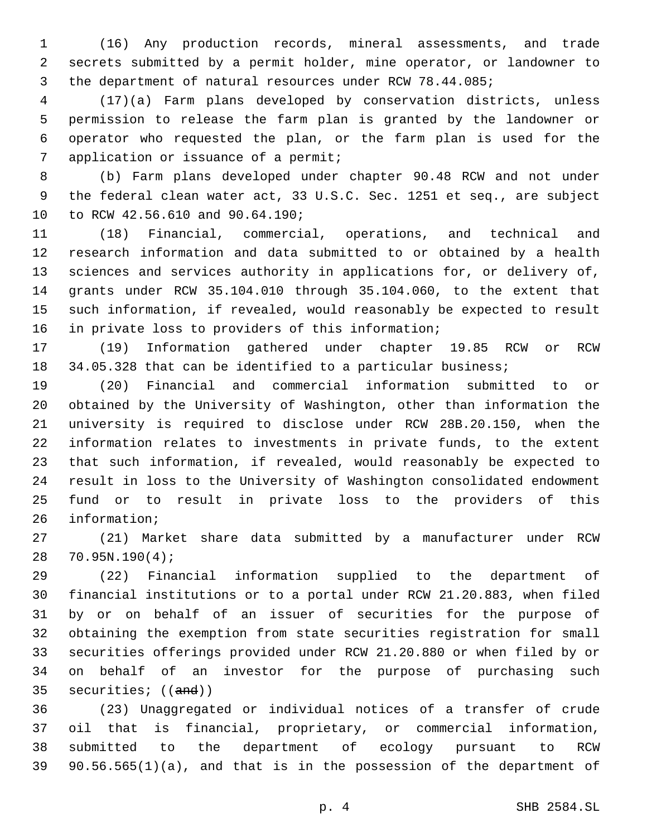(16) Any production records, mineral assessments, and trade secrets submitted by a permit holder, mine operator, or landowner to the department of natural resources under RCW 78.44.085;

 (17)(a) Farm plans developed by conservation districts, unless permission to release the farm plan is granted by the landowner or operator who requested the plan, or the farm plan is used for the 7 application or issuance of a permit;

 (b) Farm plans developed under chapter 90.48 RCW and not under the federal clean water act, 33 U.S.C. Sec. 1251 et seq., are subject 10 to RCW 42.56.610 and 90.64.190;

 (18) Financial, commercial, operations, and technical and research information and data submitted to or obtained by a health sciences and services authority in applications for, or delivery of, grants under RCW 35.104.010 through 35.104.060, to the extent that such information, if revealed, would reasonably be expected to result 16 in private loss to providers of this information;

 (19) Information gathered under chapter 19.85 RCW or RCW 18 34.05.328 that can be identified to a particular business;

 (20) Financial and commercial information submitted to or obtained by the University of Washington, other than information the university is required to disclose under RCW 28B.20.150, when the information relates to investments in private funds, to the extent that such information, if revealed, would reasonably be expected to result in loss to the University of Washington consolidated endowment fund or to result in private loss to the providers of this 26 information;

 (21) Market share data submitted by a manufacturer under RCW 70.95N.190(4);28

 (22) Financial information supplied to the department of financial institutions or to a portal under RCW 21.20.883, when filed by or on behalf of an issuer of securities for the purpose of obtaining the exemption from state securities registration for small securities offerings provided under RCW 21.20.880 or when filed by or on behalf of an investor for the purpose of purchasing such securities; ((and))

 (23) Unaggregated or individual notices of a transfer of crude oil that is financial, proprietary, or commercial information, submitted to the department of ecology pursuant to RCW 90.56.565(1)(a), and that is in the possession of the department of